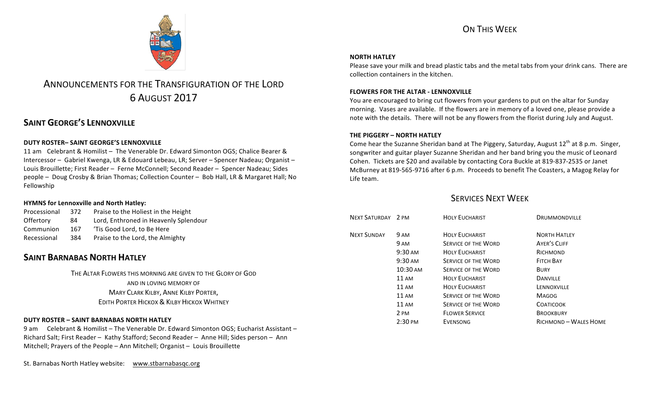

# ANNOUNCEMENTS FOR THE TRANSFIGURATION OF THE LORD 6 AUGUST 2017

# **SAINT GEORGE'S LENNOXVILLE**

#### **DUTY ROSTER– SAINT GEORGE'S LENNOXVILLE**

11 am Celebrant & Homilist – The Venerable Dr. Edward Simonton OGS; Chalice Bearer & Intercessor – Gabriel Kwenga, LR & Edouard Lebeau, LR; Server – Spencer Nadeau; Organist – Louis Brouillette; First Reader – Ferne McConnell; Second Reader – Spencer Nadeau; Sides people – Doug Crosby & Brian Thomas; Collection Counter – Bob Hall, LR & Margaret Hall; No Fellowship

#### **HYMNS for Lennoxville and North Hatley:**

| Processional | 372 | Praise to the Holiest in the Height   |
|--------------|-----|---------------------------------------|
| Offertory    | 84  | Lord, Enthroned in Heavenly Splendour |
| Communion    | 167 | 'Tis Good Lord, to Be Here            |
| Recessional  | 384 | Praise to the Lord, the Almighty      |

## **SAINT BARNABAS NORTH HATLEY**

THE ALTAR FLOWERS THIS MORNING ARE GIVEN TO THE GLORY OF GOD AND IN LOVING MEMORY OF **MARY CLARK KILBY, ANNE KILBY PORTER, EDITH PORTER HICKOX & KILBY HICKOX WHITNEY** 

#### **DUTY ROSTER – SAINT BARNABAS NORTH HATLEY**

9 am Celebrant & Homilist – The Venerable Dr. Edward Simonton OGS; Eucharist Assistant – Richard Salt; First Reader - Kathy Stafford; Second Reader - Anne Hill; Sides person - Ann Mitchell; Prayers of the People - Ann Mitchell; Organist - Louis Brouillette

St. Barnabas North Hatley website: www.stbarnabasqc.org

#### **NORTH HATLEY**

Please save your milk and bread plastic tabs and the metal tabs from your drink cans. There are collection containers in the kitchen.

#### **FLOWERS FOR THE ALTAR - LENNOXVILLE**

You are encouraged to bring cut flowers from your gardens to put on the altar for Sunday morning. Vases are available. If the flowers are in memory of a loved one, please provide a note with the details. There will not be any flowers from the florist during July and August.

#### **THE PIGGERY – NORTH HATLEY**

Come hear the Suzanne Sheridan band at The Piggery, Saturday, August  $12<sup>th</sup>$  at 8 p.m. Singer, songwriter and guitar player Suzanne Sheridan and her band bring you the music of Leonard Cohen. Tickets are \$20 and available by contacting Cora Buckle at 819-837-2535 or Janet McBurney at 819-565-9716 after 6 p.m. Proceeds to benefit The Coasters, a Magog Relay for Life team.

### **SERVICES NEXT WEEK**

| NEXT SATURDAY 2 PM |                   | <b>HOLY EUCHARIST</b>      | <b>DRUMMONDVILLE</b>  |
|--------------------|-------------------|----------------------------|-----------------------|
| <b>NEXT SUNDAY</b> | 9 AM              | <b>HOLY EUCHARIST</b>      | <b>NORTH HATLEY</b>   |
|                    | 9 AM              | <b>SERVICE OF THE WORD</b> | <b>AYER'S CLIFF</b>   |
|                    | $9:30 \text{ AM}$ | <b>HOLY EUCHARIST</b>      | RICHMOND              |
|                    | $9:30 \text{ AM}$ | <b>SERVICE OF THE WORD</b> | <b>FITCH BAY</b>      |
|                    | 10:30 AM          | <b>SERVICE OF THE WORD</b> | <b>BURY</b>           |
|                    | 11 AM             | <b>HOLY EUCHARIST</b>      | <b>DANVILLE</b>       |
|                    | $11 \text{ AM}$   | <b>HOLY EUCHARIST</b>      | LENNOXVILLE           |
|                    | $11 \text{ AM}$   | <b>SERVICE OF THE WORD</b> | <b>MAGOG</b>          |
|                    | $11 \text{ AM}$   | <b>SERVICE OF THE WORD</b> | <b>COATICOOK</b>      |
|                    | 2 PM              | <b>FLOWER SERVICE</b>      | <b>BROOKBURY</b>      |
|                    | $2:30 \text{ PM}$ | <b>EVENSONG</b>            | RICHMOND - WALES HOME |